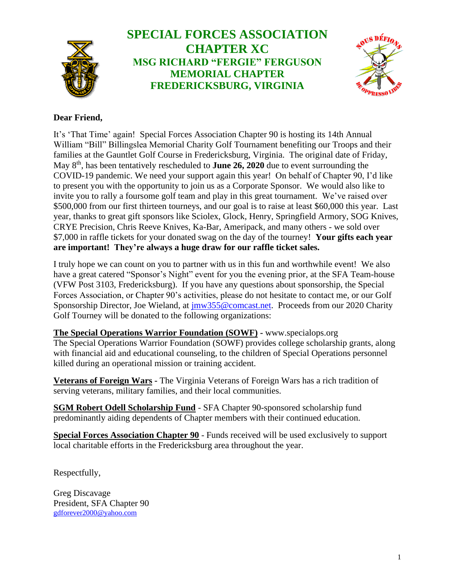

# **SPECIAL FORCES ASSOCIATION CHAPTER XC MSG RICHARD "FERGIE" FERGUSON MEMORIAL CHAPTER FREDERICKSBURG, VIRGINIA**



# **Dear Friend,**

It's 'That Time' again! Special Forces Association Chapter 90 is hosting its 14th Annual William "Bill" Billingslea Memorial Charity Golf Tournament benefiting our Troops and their families at the Gauntlet Golf Course in Fredericksburg, Virginia. The original date of Friday, May 8<sup>th</sup>, has been tentatively rescheduled to **June 26, 2020** due to event surrounding the COVID-19 pandemic. We need your support again this year! On behalf of Chapter 90, I'd like to present you with the opportunity to join us as a Corporate Sponsor. We would also like to invite you to rally a foursome golf team and play in this great tournament. We've raised over \$500,000 from our first thirteen tourneys, and our goal is to raise at least \$60,000 this year. Last year, thanks to great gift sponsors like Sciolex, Glock, Henry, Springfield Armory, SOG Knives, CRYE Precision, Chris Reeve Knives, Ka-Bar, Ameripack, and many others - we sold over \$7,000 in raffle tickets for your donated swag on the day of the tourney! **Your gifts each year are important! They're always a huge draw for our raffle ticket sales.**

I truly hope we can count on you to partner with us in this fun and worthwhile event! We also have a great catered "Sponsor's Night" event for you the evening prior, at the SFA Team-house (VFW Post 3103, Fredericksburg). If you have any questions about sponsorship, the Special Forces Association, or Chapter 90's activities, please do not hesitate to contact me, or our Golf Sponsorship Director, Joe Wieland, at  $\frac{1}{12}$  inw355@comcast.net. Proceeds from our 2020 Charity Golf Tourney will be donated to the following organizations:

**The Special Operations Warrior Foundation (SOWF) -** [www.specialops.org](http://www.specialops.org/) The Special Operations Warrior Foundation (SOWF) provides college scholarship grants, along with financial aid and educational counseling, to the children of Special Operations personnel killed during an operational mission or training accident.

**Veterans of Foreign Wars -** The Virginia Veterans of Foreign Wars has a rich tradition of serving veterans, military families, and their local communities.

**SGM Robert Odell Scholarship Fund** - SFA Chapter 90-sponsored scholarship fund predominantly aiding dependents of Chapter members with their continued education.

**Special Forces Association Chapter 90** - Funds received will be used exclusively to support local charitable efforts in the Fredericksburg area throughout the year.

Respectfully,

Greg Discavage President, SFA Chapter 90 [gdforever2000@yahoo.com](mailto:gdforever2000@yahoo.com)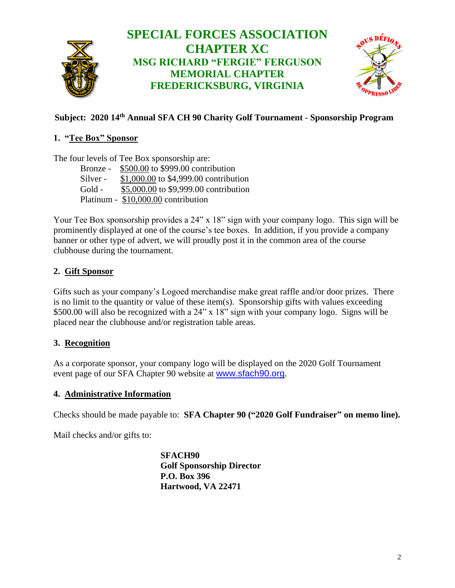

# **Subject: 2020 14 th Annual SFA CH 90 Charity Golf Tournament - Sponsorship Program**

#### **1. "Tee Box" Sponsor**

The four levels of Tee Box sponsorship are:

Bronze - \$500.00 to \$999.00 contribution Silver - \$1,000.00 to \$4,999.00 contribution Gold - \$5,000.00 to \$9,999.00 contribution Platinum - \$10,000.00 contribution

Your Tee Box sponsorship provides a 24" x 18" sign with your company logo. This sign will be prominently displayed at one of the course's tee boxes. In addition, if you provide a company banner or other type of advert, we will proudly post it in the common area of the course clubhouse during the tournament.

#### **2. Gift Sponsor**

Gifts such as your company's Logoed merchandise make great raffle and/or door prizes. There is no limit to the quantity or value of these item(s). Sponsorship gifts with values exceeding \$500.00 will also be recognized with a 24" x 18" sign with your company logo. Signs will be placed near the clubhouse and/or registration table areas.

# **3. Recognition**

As a corporate sponsor, your company logo will be displayed on the 2020 Golf Tournament event page of our SFA Chapter 90 website at [www.sfach90.org](http://www.sfach90.org/).

#### **4. Administrative Information**

Checks should be made payable to: **SFA Chapter 90 ("2020 Golf Fundraiser" on memo line).** 

Mail checks and/or gifts to:

**SFACH90 Golf Sponsorship Director P.O. Box 396 Hartwood, VA 22471**